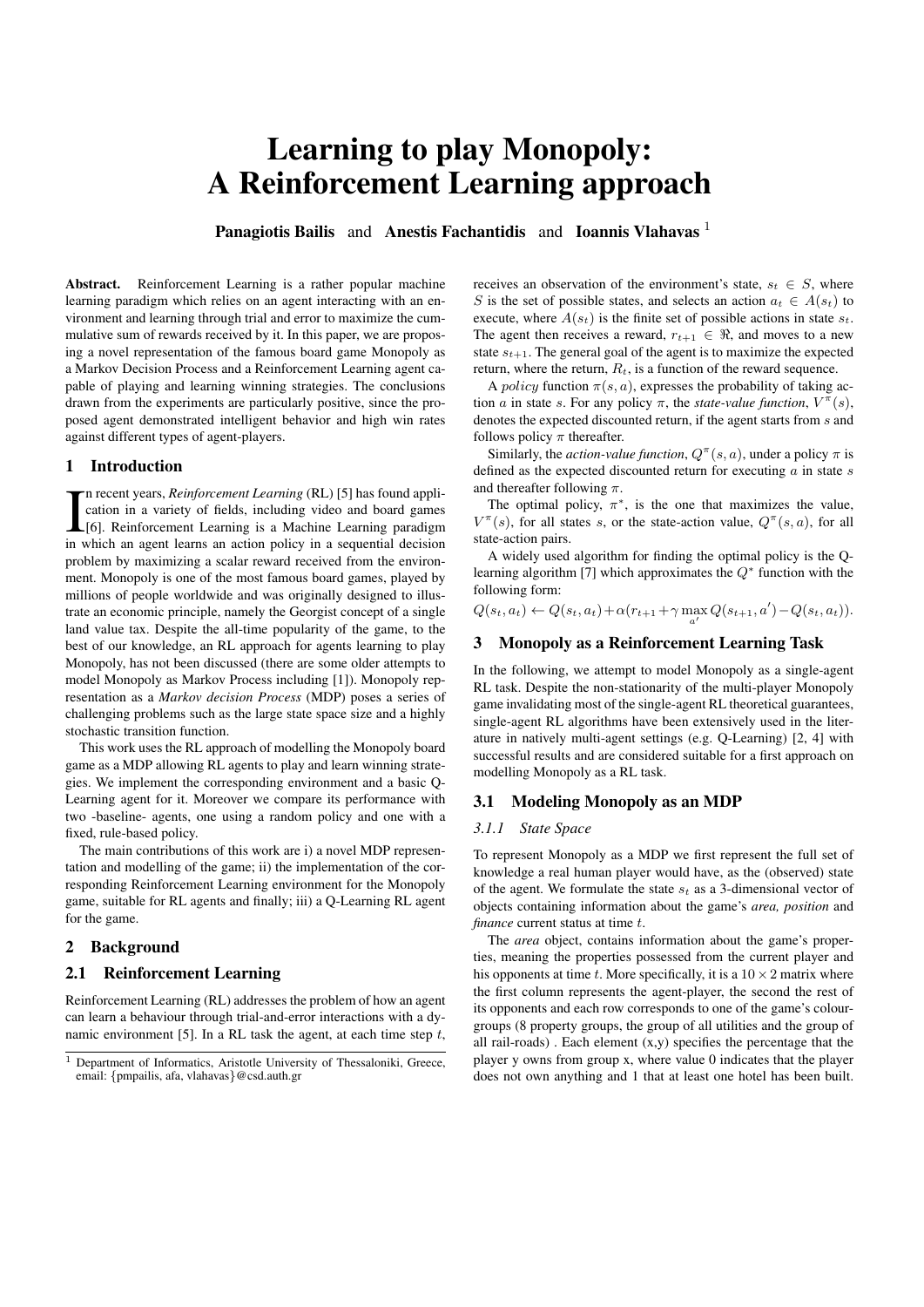# Learning to play Monopoly: A Reinforcement Learning approach

Panagiotis Bailis and Anestis Fachantidis and Ioannis Vlahavas<sup>1</sup>

Abstract. Reinforcement Learning is a rather popular machine learning paradigm which relies on an agent interacting with an environment and learning through trial and error to maximize the cummulative sum of rewards received by it. In this paper, we are proposing a novel representation of the famous board game Monopoly as a Markov Decision Process and a Reinforcement Learning agent capable of playing and learning winning strategies. The conclusions drawn from the experiments are particularly positive, since the proposed agent demonstrated intelligent behavior and high win rates against different types of agent-players.

# 1 Introduction

In recent years, *Reinforcement Learning* (RL) [5] has found application in a variety of fields, including video and board games [6]. Reinforcement Learning is a Machine Learning paradigm in which an agent learns an action n recent years, *Reinforcement Learning* (RL) [5] has found application in a variety of fields, including video and board games [6]. Reinforcement Learning is a Machine Learning paradigm problem by maximizing a scalar reward received from the environment. Monopoly is one of the most famous board games, played by millions of people worldwide and was originally designed to illustrate an economic principle, namely the Georgist concept of a single land value tax. Despite the all-time popularity of the game, to the best of our knowledge, an RL approach for agents learning to play Monopoly, has not been discussed (there are some older attempts to model Monopoly as Markov Process including [1]). Monopoly representation as a *Markov decision Process* (MDP) poses a series of challenging problems such as the large state space size and a highly stochastic transition function.

This work uses the RL approach of modelling the Monopoly board game as a MDP allowing RL agents to play and learn winning strategies. We implement the corresponding environment and a basic Q-Learning agent for it. Moreover we compare its performance with two -baseline- agents, one using a random policy and one with a fixed, rule-based policy.

The main contributions of this work are i) a novel MDP representation and modelling of the game; ii) the implementation of the corresponding Reinforcement Learning environment for the Monopoly game, suitable for RL agents and finally; iii) a Q-Learning RL agent for the game.

# 2 Background

#### 2.1 Reinforcement Learning

Reinforcement Learning (RL) addresses the problem of how an agent can learn a behaviour through trial-and-error interactions with a dynamic environment [5]. In a RL task the agent, at each time step  $t$ , receives an observation of the environment's state,  $s_t \in S$ , where S is the set of possible states, and selects an action  $a_t \in A(s_t)$  to execute, where  $A(s_t)$  is the finite set of possible actions in state  $s_t$ . The agent then receives a reward,  $r_{t+1} \in \Re$ , and moves to a new state  $s_{t+1}$ . The general goal of the agent is to maximize the expected return, where the return,  $R_t$ , is a function of the reward sequence.

A *policy* function  $\pi(s, a)$ , expresses the probability of taking action a in state s. For any policy  $\pi$ , the *state-value function*,  $V^{\pi}(s)$ , denotes the expected discounted return, if the agent starts from s and follows policy  $\pi$  thereafter.

Similarly, the *action-value function*,  $Q^{\pi}(s, a)$ , under a policy  $\pi$  is defined as the expected discounted return for executing  $\alpha$  in state  $s$ and thereafter following  $\pi$ .

The optimal policy,  $\pi^*$ , is the one that maximizes the value,  $V^{\pi}(s)$ , for all states s, or the state-action value,  $Q^{\pi}(s, a)$ , for all state-action pairs.

A widely used algorithm for finding the optimal policy is the Qlearning algorithm [7] which approximates the  $Q^*$  function with the following form:

 $Q(s_t, a_t) \leftarrow Q(s_t, a_t) + \alpha (r_{t+1} + \gamma \max_{a'} Q(s_{t+1}, a') - Q(s_t, a_t)).$ 

# 3 Monopoly as a Reinforcement Learning Task

In the following, we attempt to model Monopoly as a single-agent RL task. Despite the non-stationarity of the multi-player Monopoly game invalidating most of the single-agent RL theoretical guarantees, single-agent RL algorithms have been extensively used in the literature in natively multi-agent settings (e.g. Q-Learning) [2, 4] with successful results and are considered suitable for a first approach on modelling Monopoly as a RL task.

#### 3.1 Modeling Monopoly as an MDP

#### *3.1.1 State Space*

To represent Monopoly as a MDP we first represent the full set of knowledge a real human player would have, as the (observed) state of the agent. We formulate the state  $s_t$  as a 3-dimensional vector of objects containing information about the game's *area, position* and *finance* current status at time t.

The *area* object, contains information about the game's properties, meaning the properties possessed from the current player and his opponents at time t. More specifically, it is a  $10 \times 2$  matrix where the first column represents the agent-player, the second the rest of its opponents and each row corresponds to one of the game's colourgroups (8 property groups, the group of all utilities and the group of all rail-roads) . Each element (x,y) specifies the percentage that the player y owns from group x, where value 0 indicates that the player does not own anything and 1 that at least one hotel has been built.

<sup>&</sup>lt;sup>1</sup> Department of Informatics, Aristotle University of Thessaloniki, Greece, email: {pmpailis, afa, vlahavas}@csd.auth.gr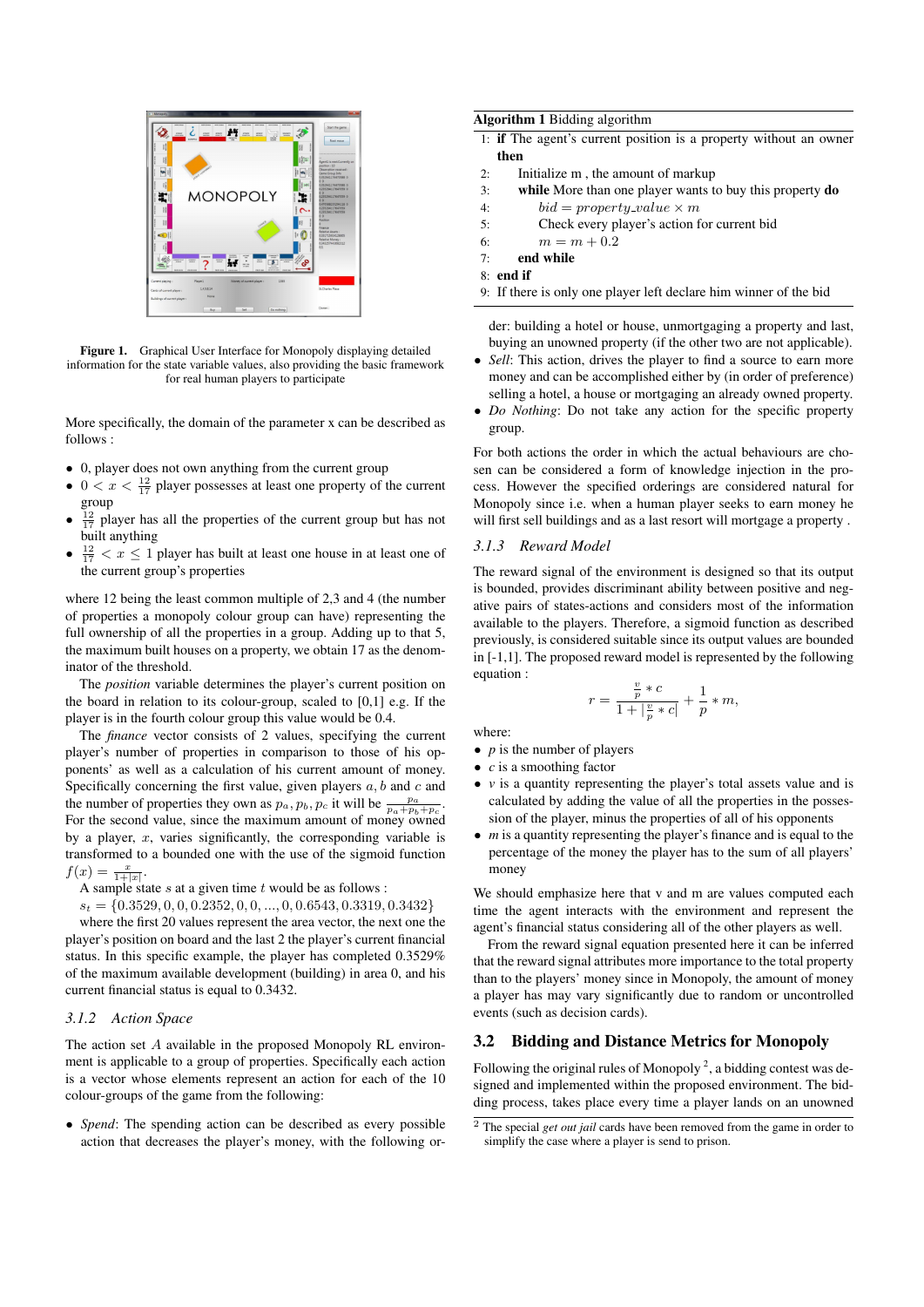

Figure 1. Graphical User Interface for Monopoly displaying detailed information for the state variable values, also providing the basic framework for real human players to participate

More specifically, the domain of the parameter x can be described as follows :

- 0, player does not own anything from the current group
- $0 < x < \frac{12}{17}$  player possesses at least one property of the current group
- $\frac{12}{17}$  player has all the properties of the current group but has not built anything
- $\frac{12}{17} < x \le 1$  player has built at least one house in at least one of the current group's properties

where 12 being the least common multiple of 2,3 and 4 (the number of properties a monopoly colour group can have) representing the full ownership of all the properties in a group. Adding up to that 5, the maximum built houses on a property, we obtain 17 as the denominator of the threshold.

The *position* variable determines the player's current position on the board in relation to its colour-group, scaled to [0,1] e.g. If the player is in the fourth colour group this value would be 0.4.

The *finance* vector consists of 2 values, specifying the current player's number of properties in comparison to those of his opponents' as well as a calculation of his current amount of money. Specifically concerning the first value, given players  $a, b$  and  $c$  and the number of properties they own as  $p_a, p_b, p_c$  it will be  $\frac{p_a}{p_a+p_b+p_c}$ . For the second value, since the maximum amount of money owned by a player,  $x$ , varies significantly, the corresponding variable is transformed to a bounded one with the use of the sigmoid function  $f(x) = \frac{x}{1+|x|}.$ 

A sample state  $s$  at a given time  $t$  would be as follows :

$$
s_t = \{0.3529, 0, 0, 0.2352, 0, 0, ..., 0, 0.6543, 0.3319, 0.3432\}
$$

where the first 20 values represent the area vector, the next one the player's position on board and the last 2 the player's current financial status. In this specific example, the player has completed 0.3529% of the maximum available development (building) in area 0, and his current financial status is equal to 0.3432.

#### *3.1.2 Action Space*

The action set A available in the proposed Monopoly RL environment is applicable to a group of properties. Specifically each action is a vector whose elements represent an action for each of the 10 colour-groups of the game from the following:

• *Spend*: The spending action can be described as every possible action that decreases the player's money, with the following or-

#### Algorithm 1 Bidding algorithm

- 1: if The agent's current position is a property without an owner then
- 2: Initialize m , the amount of markup
- 3: while More than one player wants to buy this property do
- 4:  $bid = property\_value \times m$
- 5: Check every player's action for current bid
- 6:  $m = m + 0.2$
- $7<sup>°</sup>$  end while
- 8: end if
- 9: If there is only one player left declare him winner of the bid

der: building a hotel or house, unmortgaging a property and last, buying an unowned property (if the other two are not applicable).

- *Sell*: This action, drives the player to find a source to earn more money and can be accomplished either by (in order of preference) selling a hotel, a house or mortgaging an already owned property.
- *Do Nothing*: Do not take any action for the specific property group.

For both actions the order in which the actual behaviours are chosen can be considered a form of knowledge injection in the process. However the specified orderings are considered natural for Monopoly since i.e. when a human player seeks to earn money he will first sell buildings and as a last resort will mortgage a property .

## *3.1.3 Reward Model*

The reward signal of the environment is designed so that its output is bounded, provides discriminant ability between positive and negative pairs of states-actions and considers most of the information available to the players. Therefore, a sigmoid function as described previously, is considered suitable since its output values are bounded in [-1,1]. The proposed reward model is represented by the following equation :

$$
r = \frac{\frac{v}{p} * c}{1 + |\frac{v}{p} * c|} + \frac{1}{p} * m,
$$

where:

• *p* is the number of players

 $\overline{r}$ 

- *c* is a smoothing factor
- *v* is a quantity representing the player's total assets value and is calculated by adding the value of all the properties in the possession of the player, minus the properties of all of his opponents
- *m* is a quantity representing the player's finance and is equal to the percentage of the money the player has to the sum of all players' money

We should emphasize here that v and m are values computed each time the agent interacts with the environment and represent the agent's financial status considering all of the other players as well.

From the reward signal equation presented here it can be inferred that the reward signal attributes more importance to the total property than to the players' money since in Monopoly, the amount of money a player has may vary significantly due to random or uncontrolled events (such as decision cards).

# 3.2 Bidding and Distance Metrics for Monopoly

Following the original rules of Monopoly<sup>2</sup>, a bidding contest was designed and implemented within the proposed environment. The bidding process, takes place every time a player lands on an unowned

<sup>2</sup> The special *get out jail* cards have been removed from the game in order to simplify the case where a player is send to prison.